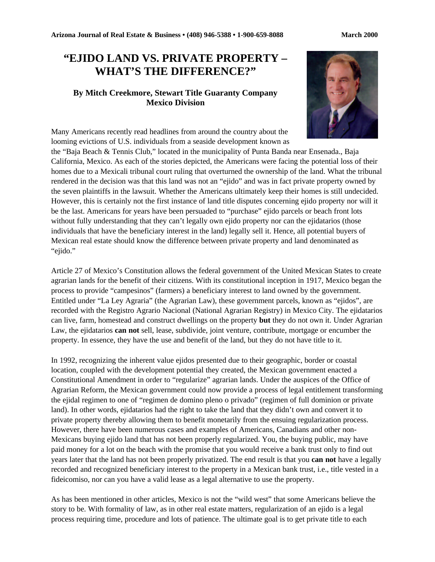## **"EJIDO LAND VS. PRIVATE PROPERTY – WHAT'S THE DIFFERENCE?"**

## **By Mitch Creekmore, Stewart Title Guaranty Company Mexico Division**



Many Americans recently read headlines from around the country about the looming evictions of U.S. individuals from a seaside development known as

the "Baja Beach & Tennis Club," located in the municipality of Punta Banda near Ensenada., Baja California, Mexico. As each of the stories depicted, the Americans were facing the potential loss of their homes due to a Mexicali tribunal court ruling that overturned the ownership of the land. What the tribunal rendered in the decision was that this land was not an "ejido" and was in fact private property owned by the seven plaintiffs in the lawsuit. Whether the Americans ultimately keep their homes is still undecided. However, this is certainly not the first instance of land title disputes concerning ejido property nor will it be the last. Americans for years have been persuaded to "purchase" ejido parcels or beach front lots without fully understanding that they can't legally own ejido property nor can the ejidatarios (those individuals that have the beneficiary interest in the land) legally sell it. Hence, all potential buyers of Mexican real estate should know the difference between private property and land denominated as "ejido."

Article 27 of Mexico's Constitution allows the federal government of the United Mexican States to create agrarian lands for the benefit of their citizens. With its constitutional inception in 1917, Mexico began the process to provide "campesinos" (farmers) a beneficiary interest to land owned by the government. Entitled under "La Ley Agraria" (the Agrarian Law), these government parcels, known as "ejidos", are recorded with the Registro Agrario Nacional (National Agrarian Registry) in Mexico City. The ejidatarios can live, farm, homestead and construct dwellings on the property **but** they do not own it. Under Agrarian Law, the ejidatarios **can not** sell, lease, subdivide, joint venture, contribute, mortgage or encumber the property. In essence, they have the use and benefit of the land, but they do not have title to it.

In 1992, recognizing the inherent value ejidos presented due to their geographic, border or coastal location, coupled with the development potential they created, the Mexican government enacted a Constitutional Amendment in order to "regularize" agrarian lands. Under the auspices of the Office of Agrarian Reform, the Mexican government could now provide a process of legal entitlement transforming the ejidal regimen to one of "regimen de domino pleno o privado" (regimen of full dominion or private land). In other words, ejidatarios had the right to take the land that they didn't own and convert it to private property thereby allowing them to benefit monetarily from the ensuing regularization process. However, there have been numerous cases and examples of Americans, Canadians and other non-Mexicans buying ejido land that has not been properly regularized. You, the buying public, may have paid money for a lot on the beach with the promise that you would receive a bank trust only to find out years later that the land has not been properly privatized. The end result is that you **can not** have a legally recorded and recognized beneficiary interest to the property in a Mexican bank trust, i.e., title vested in a fideicomiso, nor can you have a valid lease as a legal alternative to use the property.

As has been mentioned in other articles, Mexico is not the "wild west" that some Americans believe the story to be. With formality of law, as in other real estate matters, regularization of an ejido is a legal process requiring time, procedure and lots of patience. The ultimate goal is to get private title to each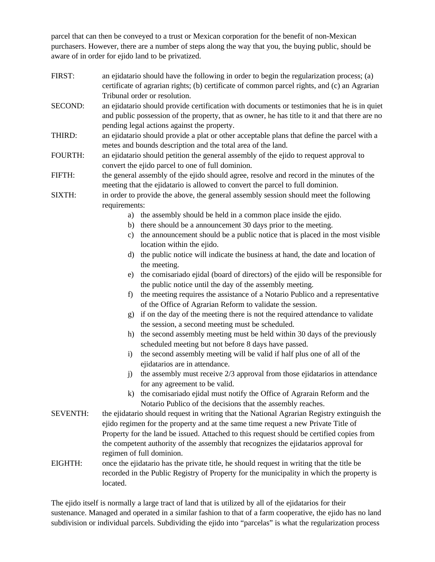parcel that can then be conveyed to a trust or Mexican corporation for the benefit of non-Mexican purchasers. However, there are a number of steps along the way that you, the buying public, should be aware of in order for ejido land to be privatized.

- FIRST: an ejidatario should have the following in order to begin the regularization process; (a) certificate of agrarian rights; (b) certificate of common parcel rights, and (c) an Agrarian Tribunal order or resolution.
- SECOND: an ejidatario should provide certification with documents or testimonies that he is in quiet and public possession of the property, that as owner, he has title to it and that there are no pending legal actions against the property.
- THIRD: an ejidatario should provide a plat or other acceptable plans that define the parcel with a metes and bounds description and the total area of the land.
- FOURTH: an ejidatario should petition the general assembly of the ejido to request approval to convert the ejido parcel to one of full dominion.
- FIFTH: the general assembly of the ejido should agree, resolve and record in the minutes of the meeting that the ejidatario is allowed to convert the parcel to full dominion.
- SIXTH: in order to provide the above, the general assembly session should meet the following requirements:
	- a) the assembly should be held in a common place inside the ejido.
	- b) there should be a announcement 30 days prior to the meeting.
	- c) the announcement should be a public notice that is placed in the most visible location within the ejido.
	- d) the public notice will indicate the business at hand, the date and location of the meeting.
	- e) the comisariado ejidal (board of directors) of the ejido will be responsible for the public notice until the day of the assembly meeting.
	- f) the meeting requires the assistance of a Notario Publico and a representative of the Office of Agrarian Reform to validate the session.
	- g) if on the day of the meeting there is not the required attendance to validate the session, a second meeting must be scheduled.
	- h) the second assembly meeting must be held within 30 days of the previously scheduled meeting but not before 8 days have passed.
	- i) the second assembly meeting will be valid if half plus one of all of the ejidatarios are in attendance.
	- j) the assembly must receive 2/3 approval from those ejidatarios in attendance for any agreement to be valid.
	- k) the comisariado ejidal must notify the Office of Agrarain Reform and the Notario Publico of the decisions that the assembly reaches.
- SEVENTH: the ejidatario should request in writing that the National Agrarian Registry extinguish the ejido regimen for the property and at the same time request a new Private Title of Property for the land be issued. Attached to this request should be certified copies from the competent authority of the assembly that recognizes the ejidatarios approval for regimen of full dominion.
- EIGHTH: once the ejidatario has the private title, he should request in writing that the title be recorded in the Public Registry of Property for the municipality in which the property is located.

The ejido itself is normally a large tract of land that is utilized by all of the ejidatarios for their sustenance. Managed and operated in a similar fashion to that of a farm cooperative, the ejido has no land subdivision or individual parcels. Subdividing the ejido into "parcelas" is what the regularization process